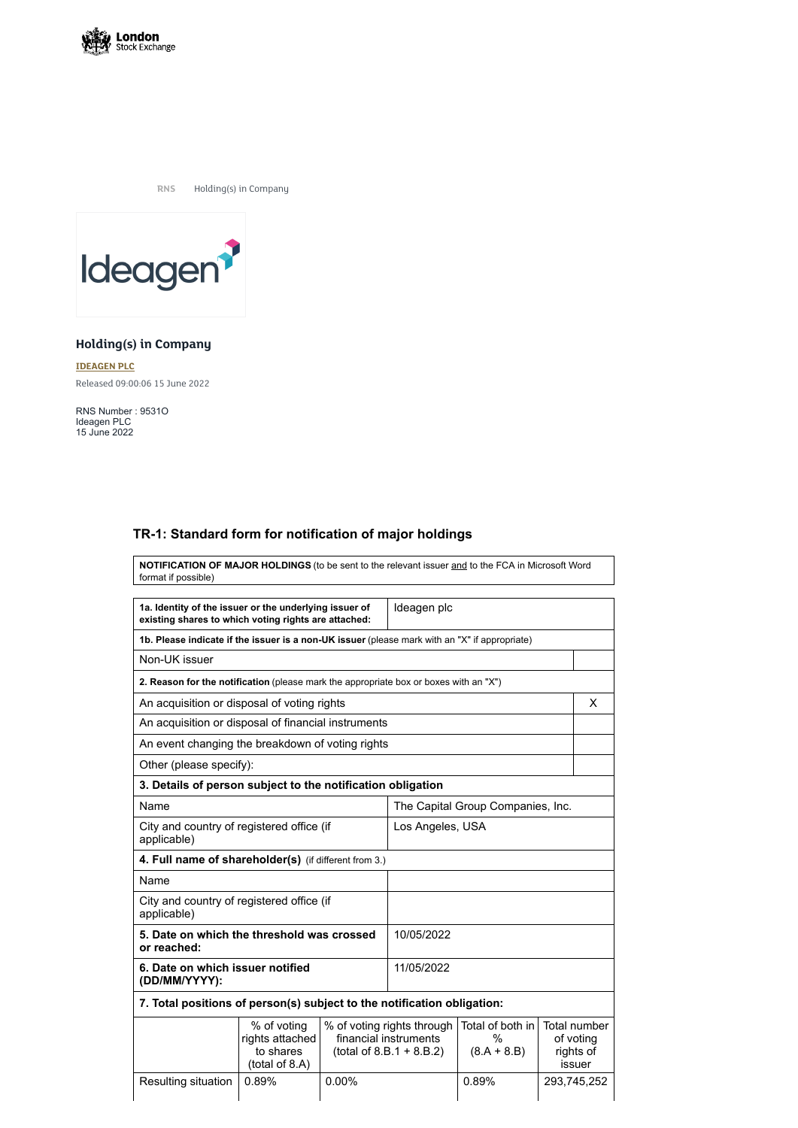

**RNS** Holding(s) in Company



## **Holding(s) in Company**

**[IDEAGEN](https://www.londonstockexchange.com/stock/IDEA/ideagen-plc) PLC** Released 09:00:06 15 June 2022

RNS Number : 9531O Ideagen PLC 15 June 2022

## **TR-1: Standard form for notification of major holdings**

**NOTIFICATION OF MAJOR HOLDINGS** (to be sent to the relevant issuer and to the FCA in Microsoft Word format if possible)

| 1a. Identity of the issuer or the underlying issuer of<br>existing shares to which voting rights are attached: |                                                               |            | Ideagen plc                                                                       |                                        |                                                         |
|----------------------------------------------------------------------------------------------------------------|---------------------------------------------------------------|------------|-----------------------------------------------------------------------------------|----------------------------------------|---------------------------------------------------------|
| 1b. Please indicate if the issuer is a non-UK issuer (please mark with an "X" if appropriate)                  |                                                               |            |                                                                                   |                                        |                                                         |
| Non-UK issuer                                                                                                  |                                                               |            |                                                                                   |                                        |                                                         |
| 2. Reason for the notification (please mark the appropriate box or boxes with an "X")                          |                                                               |            |                                                                                   |                                        |                                                         |
| An acquisition or disposal of voting rights                                                                    |                                                               |            |                                                                                   |                                        | X                                                       |
| An acquisition or disposal of financial instruments                                                            |                                                               |            |                                                                                   |                                        |                                                         |
| An event changing the breakdown of voting rights                                                               |                                                               |            |                                                                                   |                                        |                                                         |
| Other (please specify):                                                                                        |                                                               |            |                                                                                   |                                        |                                                         |
| 3. Details of person subject to the notification obligation                                                    |                                                               |            |                                                                                   |                                        |                                                         |
| Name                                                                                                           |                                                               |            | The Capital Group Companies, Inc.                                                 |                                        |                                                         |
| City and country of registered office (if<br>applicable)                                                       |                                                               |            | Los Angeles, USA                                                                  |                                        |                                                         |
| 4. Full name of shareholder(s) (if different from 3.)                                                          |                                                               |            |                                                                                   |                                        |                                                         |
| Name                                                                                                           |                                                               |            |                                                                                   |                                        |                                                         |
| City and country of registered office (if<br>applicable)                                                       |                                                               |            |                                                                                   |                                        |                                                         |
| 5. Date on which the threshold was crossed<br>or reached:                                                      |                                                               |            | 10/05/2022                                                                        |                                        |                                                         |
| 6. Date on which issuer notified<br>(DD/MM/YYYY):                                                              |                                                               | 11/05/2022 |                                                                                   |                                        |                                                         |
| 7. Total positions of person(s) subject to the notification obligation:                                        |                                                               |            |                                                                                   |                                        |                                                         |
|                                                                                                                | % of voting<br>rights attached<br>to shares<br>(total of 8.A) |            | % of voting rights through<br>financial instruments<br>$(total of 8.B.1 + 8.B.2)$ | Total of both in<br>%<br>$(8.A + 8.B)$ | <b>Total number</b><br>of voting<br>rights of<br>issuer |
| Resulting situation                                                                                            | 0.89%                                                         | 0.00%      |                                                                                   | 0.89%                                  | 293,745,252                                             |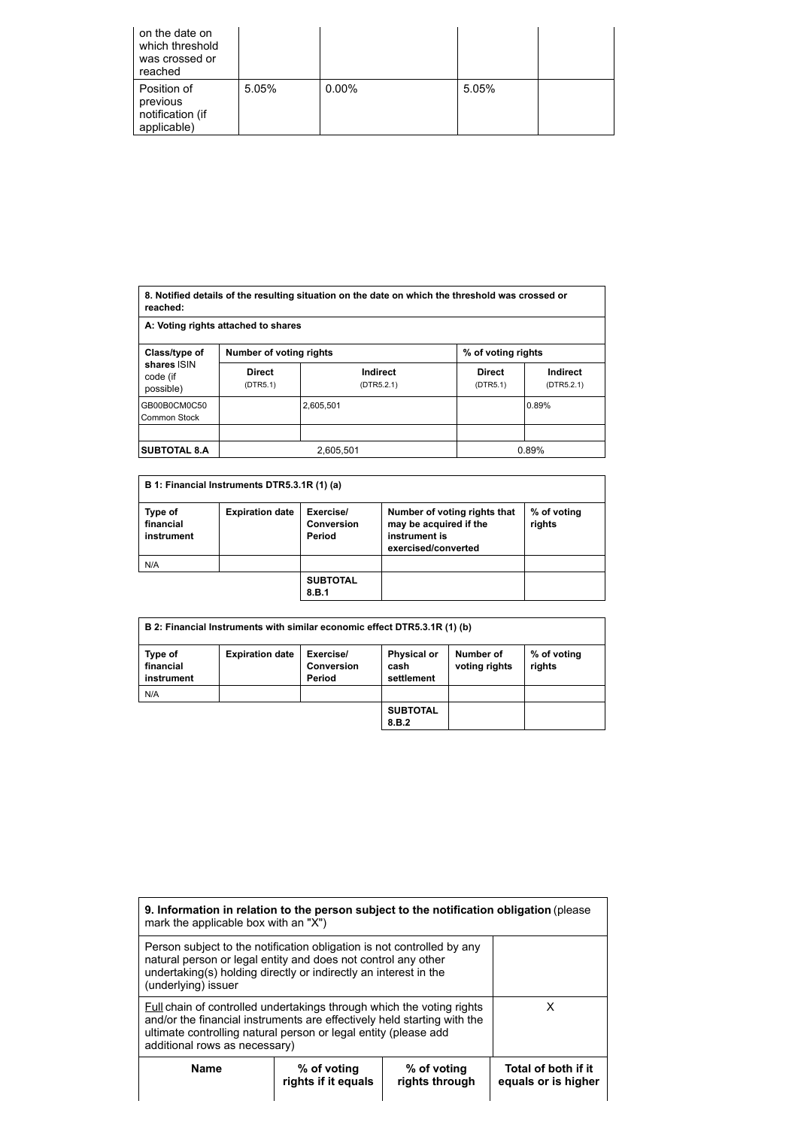| on the date on<br>which threshold<br>was crossed or<br>reached |       |          |       |  |
|----------------------------------------------------------------|-------|----------|-------|--|
| Position of<br>previous<br>notification (if<br>applicable)     | 5.05% | $0.00\%$ | 5.05% |  |

| 8. Notified details of the resulting situation on the date on which the threshold was crossed or<br>reached: |                                     |                               |                           |                               |
|--------------------------------------------------------------------------------------------------------------|-------------------------------------|-------------------------------|---------------------------|-------------------------------|
|                                                                                                              | A: Voting rights attached to shares |                               |                           |                               |
| Class/type of                                                                                                | <b>Number of voting rights</b>      |                               | % of voting rights        |                               |
| shares ISIN<br>code (if<br>possible)                                                                         | <b>Direct</b><br>(DTR5.1)           | <b>Indirect</b><br>(DTR5.2.1) | <b>Direct</b><br>(DTR5.1) | <b>Indirect</b><br>(DTR5.2.1) |
| GB00B0CM0C50<br><b>Common Stock</b>                                                                          |                                     | 2.605.501                     |                           | 0.89%                         |
|                                                                                                              |                                     |                               |                           |                               |
| <b>SUBTOTAL 8.A</b>                                                                                          | 2,605,501                           |                               |                           | 0.89%                         |

|                                    | B 1: Financial Instruments DTR5.3.1R (1) (a) |                                                 |                                                                                                |                       |
|------------------------------------|----------------------------------------------|-------------------------------------------------|------------------------------------------------------------------------------------------------|-----------------------|
| Type of<br>financial<br>instrument | <b>Expiration date</b>                       | Exercise/<br><b>Conversion</b><br><b>Period</b> | Number of voting rights that<br>may be acquired if the<br>instrument is<br>exercised/converted | % of voting<br>rights |
| N/A                                |                                              |                                                 |                                                                                                |                       |
|                                    |                                              | <b>SUBTOTAL</b><br>8.B.1                        |                                                                                                |                       |

| B 2: Financial Instruments with similar economic effect DTR5.3.1R (1) (b) |                        |                                                 |                                          |                            |                       |
|---------------------------------------------------------------------------|------------------------|-------------------------------------------------|------------------------------------------|----------------------------|-----------------------|
| Type of<br>financial<br>instrument                                        | <b>Expiration date</b> | Exercise/<br><b>Conversion</b><br><b>Period</b> | <b>Physical or</b><br>cash<br>settlement | Number of<br>voting rights | % of voting<br>rights |
| N/A                                                                       |                        |                                                 |                                          |                            |                       |
|                                                                           |                        |                                                 | <b>SUBTOTAL</b><br>8.B.2                 |                            |                       |

| 9. Information in relation to the person subject to the notification obligation (please<br>mark the applicable box with an "X")                                                                                                                             |                                    |                               |                                            |
|-------------------------------------------------------------------------------------------------------------------------------------------------------------------------------------------------------------------------------------------------------------|------------------------------------|-------------------------------|--------------------------------------------|
| Person subject to the notification obligation is not controlled by any<br>natural person or legal entity and does not control any other<br>undertaking(s) holding directly or indirectly an interest in the<br>(underlying) issuer                          |                                    |                               |                                            |
| <b>Full chain of controlled undertakings through which the voting rights</b><br>and/or the financial instruments are effectively held starting with the<br>ultimate controlling natural person or legal entity (please add<br>additional rows as necessary) |                                    |                               | x                                          |
| <b>Name</b>                                                                                                                                                                                                                                                 | % of voting<br>rights if it equals | % of voting<br>rights through | Total of both if it<br>equals or is higher |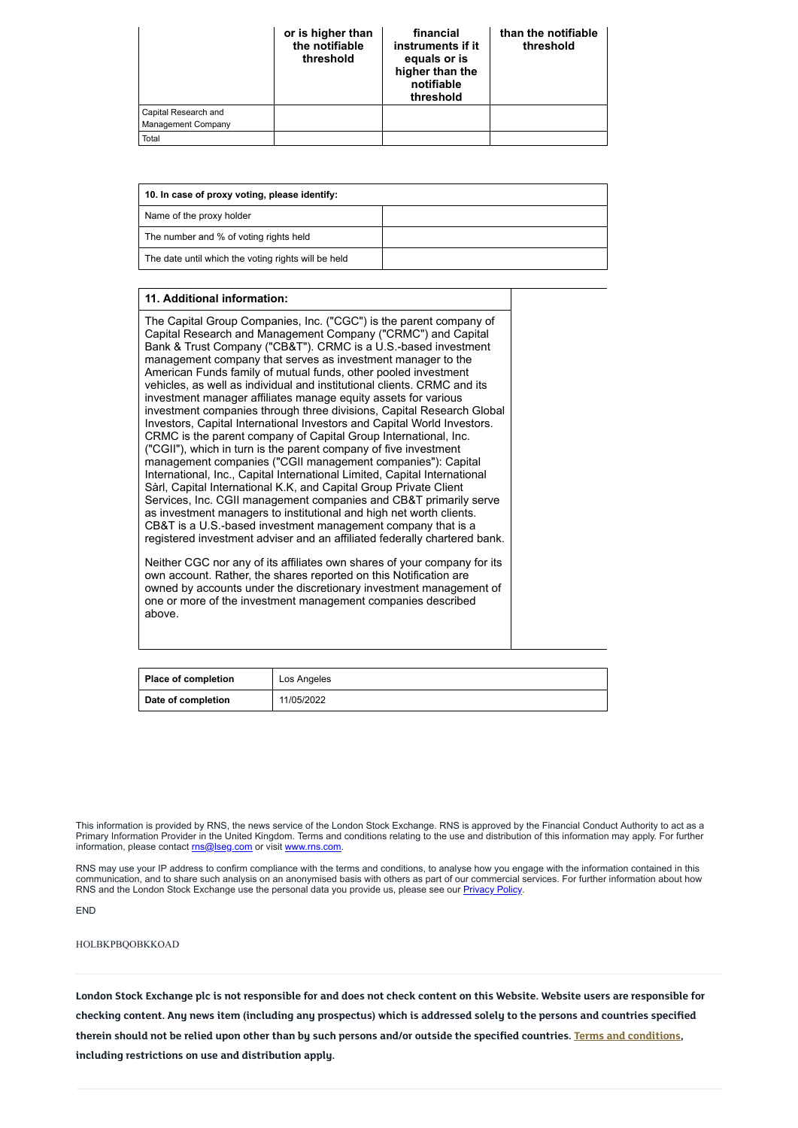|                                                   | or is higher than<br>the notifiable<br>threshold | financial<br>instruments if it<br>equals or is<br>higher than the<br>notifiable<br>threshold | than the notifiable<br>threshold |
|---------------------------------------------------|--------------------------------------------------|----------------------------------------------------------------------------------------------|----------------------------------|
| Capital Research and<br><b>Management Company</b> |                                                  |                                                                                              |                                  |
| Total                                             |                                                  |                                                                                              |                                  |

| 10. In case of proxy voting, please identify:       |  |  |
|-----------------------------------------------------|--|--|
| Name of the proxy holder                            |  |  |
| The number and % of voting rights held              |  |  |
| The date until which the voting rights will be held |  |  |

## **11. Additional information:**

This information is provided by RNS, the news service of the London Stock Exchange. RNS is approved by the Financial Conduct Authority to act as a Primary Information Provider in the United Kingdom. Terms and conditions relating to the use and distribution of this information may apply. For further information, please contact [rns@lseg.com](mailto:rns@lseg.com) or visit [www.rns.com.](http://www.rns.com/)

The Capital Group Companies, Inc. ("CGC") is the parent company of Capital Research and Management Company ("CRMC") and Capital Bank & Trust Company ("CB&T"). CRMC is a U.S.-based investment management company that serves as investment manager to the American Funds family of mutual funds, other pooled investment vehicles, as well as individual and institutional clients. CRMC and its investment manager affiliates manage equity assets for various investment companies through three divisions, Capital Research Global Investors, Capital International Investors and Capital World Investors. CRMC is the parent company of Capital Group International, Inc. ("CGII"), which in turn is the parent company of five investment management companies ("CGII management companies"): Capital International, Inc., Capital International Limited, Capital International Sàrl, Capital International K.K, and Capital Group Private Client Services, Inc. CGII management companies and CB&T primarily serve as investment managers to institutional and high net worth clients. CB&T is a U.S.-based investment management company that is a registered investment adviser and an affiliated federally chartered bank.

RNS may use your IP address to confirm compliance with the terms and conditions, to analyse how you engage with the information contained in this communication, and to share such analysis on an anonymised basis with others as part of our commercial services. For further information about how RNS and the London Stock Exchange use the personal data you provide us, please see our [Privacy](https://www.lseg.com/privacy-and-cookie-policy) Policy.

London Stock Exchange plc is not responsible for and does not check content on this Website. Website users are responsible for checking content. Any news item (including any prospectus) which is addressed solely to the persons and countries specified therein should not be relied upon other than by such persons and/or outside the specified countries. Terms and [conditions](https://www.londonstockexchange.com/disclaimer), **including restrictions on use and distribution apply.**

Neither CGC nor any of its affiliates own shares of your company for its own account. Rather, the shares reported on this Notification are owned by accounts under the discretionary investment management of one or more of the investment management companies described above.

| Place of completion | Los Angeles |
|---------------------|-------------|
| Date of completion  | 11/05/2022  |

END

HOLBKPBQOBKKOAD